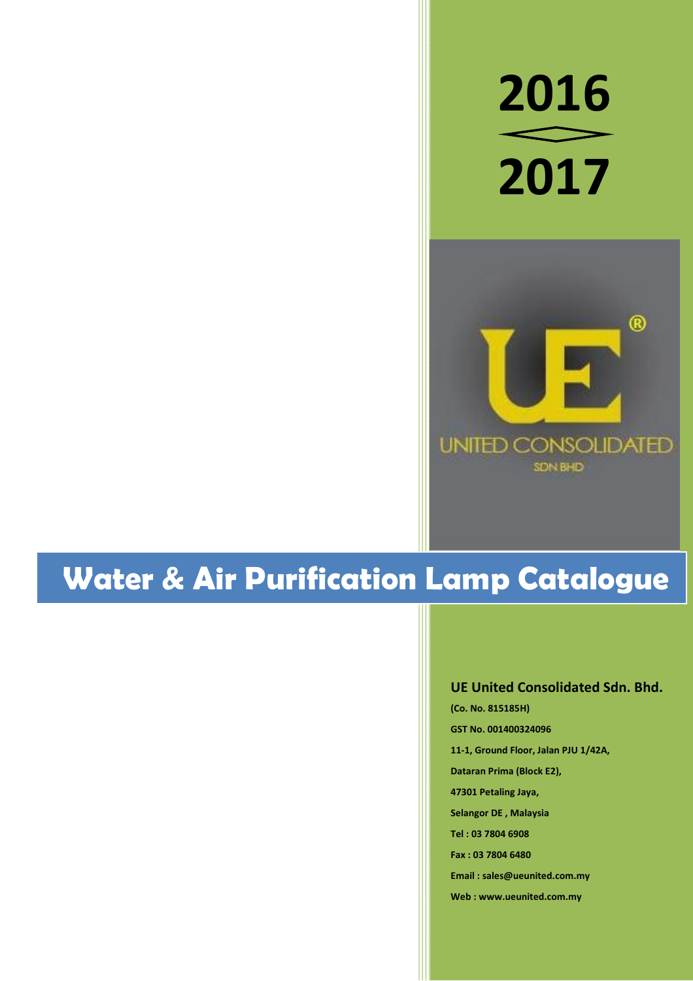



# **Water & Air Purification Lamp Catalogue**

### **UE United Consolidated Sdn. Bhd.**

**GST No. 001400324096 11-1, Ground Floor, Jalan PJU 1/42A, Dataran Prima (Block E2), 47301 Petaling Jaya, Selangor DE , Malaysia Tel : 03 7804 6908 Fax : 03 7804 6480 Email : sales@ueunited.com.my**

**(Co. No. 815185H)** 

**Web : www.ueunited.com.my**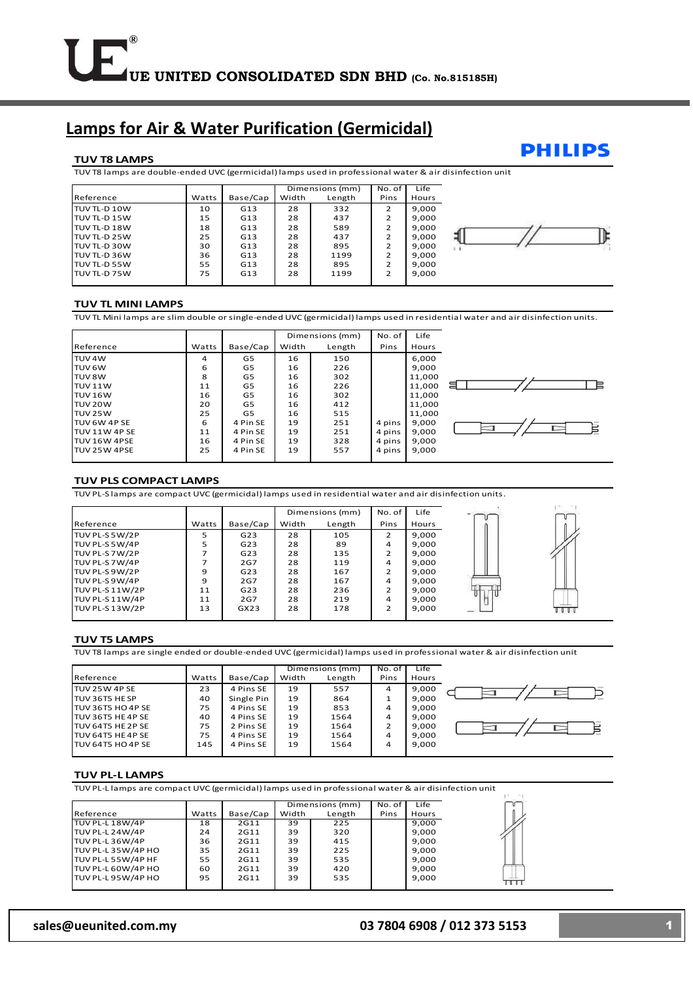## **Lamps for Air & Water Purification (Germicidal)**

#### **TUV T8 LAMPS**

TUV T8 lamps are double-ended UVC (germicidal) lamps used in professional water & air disinfection unit

|                      |       |          |       | Dimensions (mm) | No. of         | Life         |  |
|----------------------|-------|----------|-------|-----------------|----------------|--------------|--|
| <b>Reference</b>     | Watts | Base/Cap | Width | Length          | Pins           | <b>Hours</b> |  |
| <b>ITUV TL-D 10W</b> | 10    | G13      | 28    | 332             | 2              | 9,000        |  |
| <b>ITUV TL-D 15W</b> | 15    | G13      | 28    | 437             | $\overline{2}$ | 9,000        |  |
| I TUV TL-D 18W       | 18    | G13      | 28    | 589             | 2              | 9,000        |  |
| <b>ITUV TL-D 25W</b> | 25    | G13      | 28    | 437             | $\overline{2}$ | 9,000        |  |
| <b>ITUV TL-D 30W</b> | 30    | G13      | 28    | 895             | 2              | 9,000        |  |
| I TUV TL-D 36W       | 36    | G13      | 28    | 1199            | 2              | 9,000        |  |
| I TUV TL-D 55W       | 55    | G13      | 28    | 895             | $\overline{2}$ | 9,000        |  |
| <b>ITUV TL-D 75W</b> | 75    | G13      | 28    | 1199            | 2              | 9,000        |  |
|                      |       |          |       |                 |                |              |  |

**PHILIPS** 

#### **TUV TL MINI LAMPS**

TUV TL Mini lamps are slim double or single-ended UVC (germicidal) lamps used in residential water and air disinfection units.

|                    |       |          |       | Dimensions (mm) | No. of | Life   |        |
|--------------------|-------|----------|-------|-----------------|--------|--------|--------|
| <b>I</b> Reference | Watts | Base/Cap | Width | Length          | Pins   | Hours  |        |
| TUV <sub>4</sub> W | 4     | G5       | 16    | 150             |        | 6,000  |        |
| TUV <sub>6</sub> W | 6     | G5       | 16    | 226             |        | 9.000  |        |
| TUV 8W             | 8     | G5       | 16    | 302             |        | 11.000 |        |
| TUV 11W            | 11    | G5       | 16    | 226             |        | 11,000 | B<br>ョ |
| <b>TUV 16W</b>     | 16    | G5       | 16    | 302             |        | 11.000 |        |
| TUV 20W            | 20    | G5       | 16    | 412             |        | 11.000 |        |
| TUV 25W            | 25    | G5       | 16    | 515             |        | 11.000 |        |
| TUV 6W 4P SE       | 6     | 4 Pin SE | 19    | 251             | 4 pins | 9,000  |        |
| TUV 11W 4P SE      | 11    | 4 Pin SE | 19    | 251             | 4 pins | 9,000  |        |
| TUV 16W 4PSE       | 16    | 4 Pin SE | 19    | 328             | 4 pins | 9.000  |        |
| TUV 25W 4PSE       | 25    | 4 Pin SE | 19    | 557             | 4 pins | 9,000  |        |
|                    |       |          |       |                 |        |        |        |

#### **TUV PLS COMPACT LAMPS**

TUV PL-S lamps are compact UVC (germicidal) lamps used in residential water and air disinfection units.

|                  |       |          |       | Dimensions (mm) | No. of   | Life  |                                                                          |
|------------------|-------|----------|-------|-----------------|----------|-------|--------------------------------------------------------------------------|
| <b>Reference</b> | Watts | Base/Cap | Width | Length          | Pins     | Hours |                                                                          |
| TUV PL-S 5W/2P   | 5     | G23      | 28    | 105             | 2        | 9,000 |                                                                          |
| TUV PL-S 5W/4P   | 5     | G23      | 28    | 89              | 4        | 9,000 |                                                                          |
| TUV PL-S 7W/2P   |       | G23      | 28    | 135             | <b>C</b> | 9,000 |                                                                          |
| TUV PL-S 7W/4P   |       | 2G7      | 28    | 119             | 4        | 9,000 |                                                                          |
| TUV PL-S 9W/2P   | q     | G23      | 28    | 167             | 2        | 9,000 |                                                                          |
| TUV PL-S 9W/4P   | q     | 2G7      | 28    | 167             | 4        | 9,000 |                                                                          |
| TUV PL-S 11W/2P  | 11    | G23      | 28    | 236             | <b>C</b> | 9,000 |                                                                          |
| TUV PL-S 11W/4P  | 11    | 2G7      | 28    | 219             | 4        | 9.000 |                                                                          |
| TUV PL-S 13W/2P  | 13    | GX23     | 28    | 178             | っ        | 9,000 | weekender<br>$\overline{1}$ $\overline{1}$ $\overline{1}$ $\overline{1}$ |
|                  |       |          |       |                 |          |       |                                                                          |

#### **TUV T5 LAMPS**

TUV T8 lamps are single ended or double-ended UVC (germicidal) lamps used in professional water & air disinfection unit

|                       |       |            |       | Dimensions (mm) | No. of | Life  |  |
|-----------------------|-------|------------|-------|-----------------|--------|-------|--|
| <b>I</b> Reference    | Watts | Base/Cap   | Width | Length          | Pins   | Hours |  |
| <b>ITUV 25W 4P SE</b> | 23    | 4 Pins SE  | 19    | 557             | 4      | 9.000 |  |
| <b>ITUV 36T5 HESP</b> | 40    | Single Pin | 19    | 864             |        | 9.000 |  |
| ITUV 36T5 HO 4P SE    | 75    | 4 Pins SE  | 19    | 853             | 4      | 9,000 |  |
| TUV 36T5 HE 4P SE     | 40    | 4 Pins SE  | 19    | 1564            | 4      | 9,000 |  |
| ITUV 64T5 HE 2P SE    | 75    | 2 Pins SE  | 19    | 1564            | 2      | 9,000 |  |
| ITUV 64T5 HE 4P SE    | 75    | 4 Pins SE  | 19    | 1564            | 4      | 9,000 |  |
| ITUV 64T5 HO 4P SE    | 145   | 4 Pins SE  | 19    | 1564            | 4      | 9,000 |  |
|                       |       |            |       |                 |        |       |  |

#### **TUV PL-L LAMPS**

TUV PL-L lamps are compact UVC (germicidal) lamps used in professional water & air disinfection unit

|                    |       |          | Dimensions (mm) |        | No. of | Life  |                |
|--------------------|-------|----------|-----------------|--------|--------|-------|----------------|
| Reference          | Watts | Base/Cap | Width           | Length | Pins   | Hours |                |
| TUV PL-L 18W/4P    | 18    | 2G11     | 39              | 225    |        | 9,000 |                |
| TUV PL-L 24W/4P    | 24    | 2G11     | 39              | 320    |        | 9.000 |                |
| TUV PL-L 36W/4P    | 36    | 2G11     | 39              | 415    |        | 9,000 |                |
| TUV PL-L 35W/4P HO | 35    | 2G11     | 39              | 225    |        | 9,000 |                |
| TUV PL-L 55W/4P HF | 55    | 2G11     | 39              | 535    |        | 9,000 |                |
| TUV PL-L 60W/4P HO | 60    | 2G11     | 39              | 420    |        | 9,000 |                |
| TUV PL-L 95W/4P HO | 95    | 2G11     | 39              | 535    |        | 9,000 | 0 <sup>1</sup> |
|                    |       |          |                 |        |        |       |                |

#### **sales@ueunited.com.my** 1 1 1 2 37804 6908 **012 373 5153**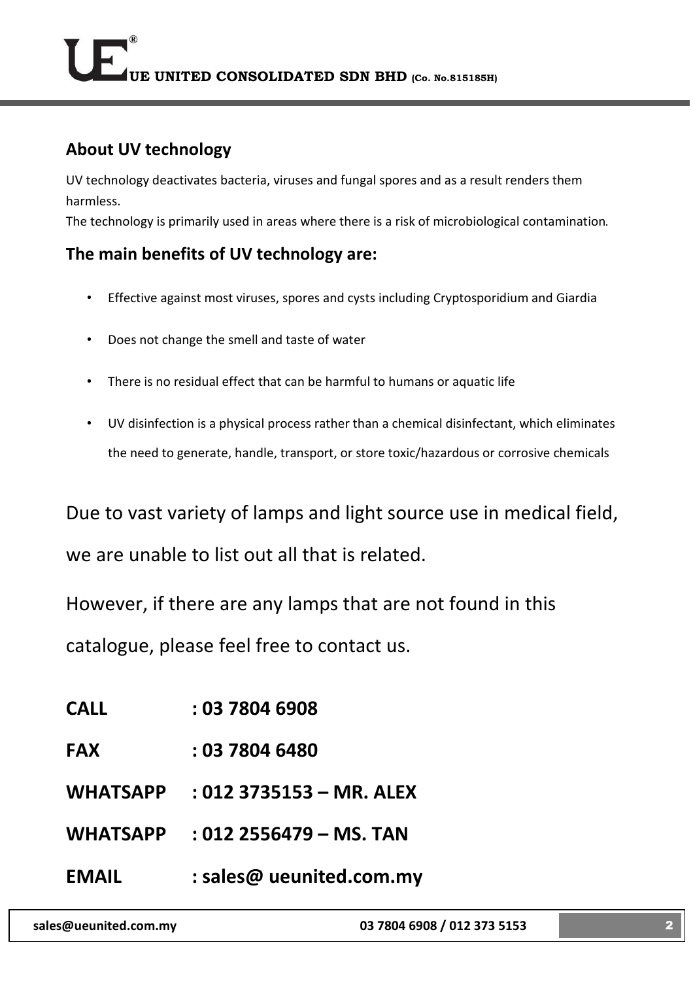### **About UV technology**

UV technology deactivates bacteria, viruses and fungal spores and as a result renders them harmless.

The technology is primarily used in areas where there is a risk of microbiological contamination.

### **The main benefits of UV technology are:**

- Effective against most viruses, spores and cysts including Cryptosporidium and Giardia
- Does not change the smell and taste of water
- There is no residual effect that can be harmful to humans or aquatic life
- UV disinfection is a physical process rather than a chemical disinfectant, which eliminates the need to generate, handle, transport, or store toxic/hazardous or corrosive chemicals

Due to vast variety of lamps and light source use in medical field, we are unable to list out all that is related.

However, if there are any lamps that are not found in this

catalogue, please feel free to contact us.

| <b>CALL</b>     | : 03 7804 6908             |
|-----------------|----------------------------|
| <b>FAX</b>      | : 03 7804 6480             |
| <b>WHATSAPP</b> | $: 012$ 3735153 - MR. ALEX |
| <b>WHATSAPP</b> | $: 012$ 2556479 – MS. TAN  |
| <b>EMAIL</b>    | : sales@ ueunited.com.my   |